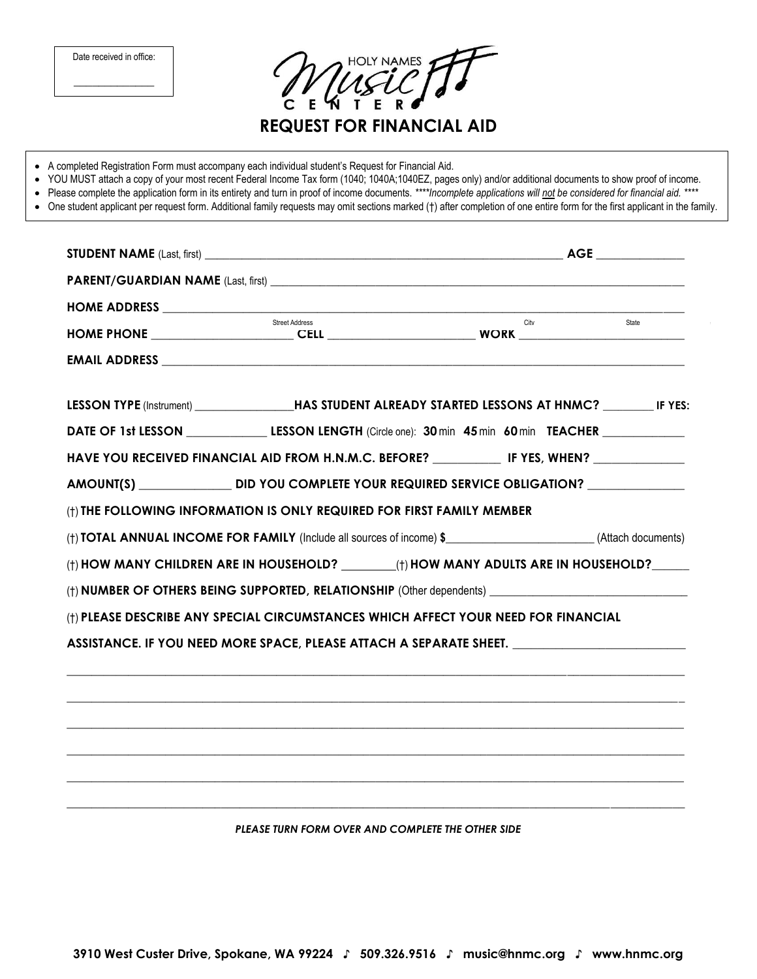|  | • Please complete the application form in its entirety and turn in proof of income documents. ****Incomplete applications will not be considered for financial aid. ****<br>• One student applicant per request form. Additional family requests may omit sections marked (†) after completion of one entire form for the first applicant in the family. | • YOU MUST attach a copy of your most recent Federal Income Tax form (1040; 1040A;1040EZ, pages only) and/or additional documents to show proof of income. |       |
|--|----------------------------------------------------------------------------------------------------------------------------------------------------------------------------------------------------------------------------------------------------------------------------------------------------------------------------------------------------------|------------------------------------------------------------------------------------------------------------------------------------------------------------|-------|
|  |                                                                                                                                                                                                                                                                                                                                                          |                                                                                                                                                            |       |
|  |                                                                                                                                                                                                                                                                                                                                                          |                                                                                                                                                            |       |
|  | Street Address                                                                                                                                                                                                                                                                                                                                           | City                                                                                                                                                       | State |
|  |                                                                                                                                                                                                                                                                                                                                                          |                                                                                                                                                            |       |
|  |                                                                                                                                                                                                                                                                                                                                                          |                                                                                                                                                            |       |
|  | AMOUNT(S) _________________DID YOU COMPLETE YOUR REQUIRED SERVICE OBLIGATION? ______________________                                                                                                                                                                                                                                                     |                                                                                                                                                            |       |
|  | (†) THE FOLLOWING INFORMATION IS ONLY REQUIRED FOR FIRST FAMILY MEMBER<br>(†) <b>TOTAL ANNUAL INCOME FOR FAMILY</b> (Include all sources of income) \$ __________________(Attach documents)                                                                                                                                                              |                                                                                                                                                            |       |
|  | (†) HOW MANY CHILDREN ARE IN HOUSEHOLD? _________(†) HOW MANY ADULTS ARE IN HOUSEHOLD?______                                                                                                                                                                                                                                                             |                                                                                                                                                            |       |
|  | (t) NUMBER OF OTHERS BEING SUPPORTED, RELATIONSHIP (Other dependents)                                                                                                                                                                                                                                                                                    |                                                                                                                                                            |       |
|  | (†) PLEASE DESCRIBE ANY SPECIAL CIRCUMSTANCES WHICH AFFECT YOUR NEED FOR FINANCIAL                                                                                                                                                                                                                                                                       |                                                                                                                                                            |       |
|  | ASSISTANCE. IF YOU NEED MORE SPACE, PLEASE ATTACH A SEPARATE SHEET. ________________________________                                                                                                                                                                                                                                                     |                                                                                                                                                            |       |
|  |                                                                                                                                                                                                                                                                                                                                                          |                                                                                                                                                            |       |
|  |                                                                                                                                                                                                                                                                                                                                                          |                                                                                                                                                            |       |
|  |                                                                                                                                                                                                                                                                                                                                                          |                                                                                                                                                            |       |